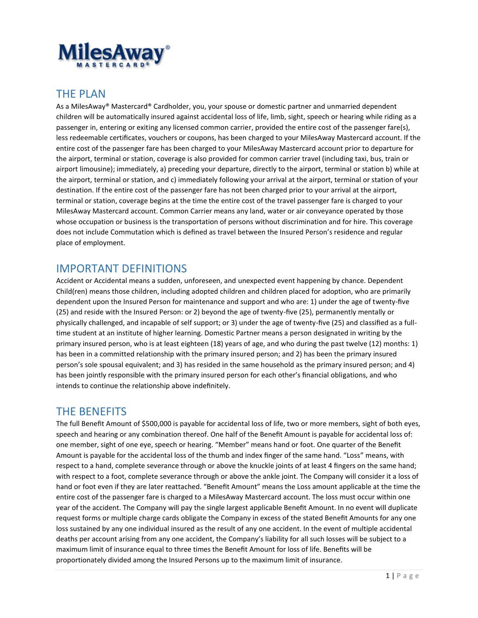

### THE PLAN

As a MilesAway® Mastercard® Cardholder, you, your spouse or domestic partner and unmarried dependent children will be automatically insured against accidental loss of life, limb, sight, speech or hearing while riding as a passenger in, entering or exiting any licensed common carrier, provided the entire cost of the passenger fare(s), less redeemable certificates, vouchers or coupons, has been charged to your MilesAway Mastercard account. If the entire cost of the passenger fare has been charged to your MilesAway Mastercard account prior to departure for the airport, terminal or station, coverage is also provided for common carrier travel (including taxi, bus, train or airport limousine); immediately, a) preceding your departure, directly to the airport, terminal or station b) while at the airport, terminal or station, and c) immediately following your arrival at the airport, terminal or station of your destination. If the entire cost of the passenger fare has not been charged prior to your arrival at the airport, terminal or station, coverage begins at the time the entire cost of the travel passenger fare is charged to your MilesAway Mastercard account. Common Carrier means any land, water or air conveyance operated by those whose occupation or business is the transportation of persons without discrimination and for hire. This coverage does not include Commutation which is defined as travel between the Insured Person's residence and regular place of employment.

### IMPORTANT DEFINITIONS

Accident or Accidental means a sudden, unforeseen, and unexpected event happening by chance. Dependent Child(ren) means those children, including adopted children and children placed for adoption, who are primarily dependent upon the Insured Person for maintenance and support and who are: 1) under the age of twenty-five (25) and reside with the Insured Person: or 2) beyond the age of twenty-five (25), permanently mentally or physically challenged, and incapable of self support; or 3) under the age of twenty-five (25) and classified as a fulltime student at an institute of higher learning. Domestic Partner means a person designated in writing by the primary insured person, who is at least eighteen (18) years of age, and who during the past twelve (12) months: 1) has been in a committed relationship with the primary insured person; and 2) has been the primary insured person's sole spousal equivalent; and 3) has resided in the same household as the primary insured person; and 4) has been jointly responsible with the primary insured person for each other's financial obligations, and who intends to continue the relationship above indefinitely.

#### THE BENEFITS

 The full Benefit Amount of \$500,000 is payable for accidental loss of life, two or more members, sight of both eyes, speech and hearing or any combination thereof. One half of the Benefit Amount is payable for accidental loss of: one member, sight of one eye, speech or hearing. "Member" means hand or foot. One quarter of the Benefit Amount is payable for the accidental loss of the thumb and index finger of the same hand. "Loss" means, with respect to a hand, complete severance through or above the knuckle joints of at least 4 fingers on the same hand; with respect to a foot, complete severance through or above the ankle joint. The Company will consider it a loss of hand or foot even if they are later reattached. "Benefit Amount" means the Loss amount applicable at the time the entire cost of the passenger fare is charged to a MilesAway Mastercard account. The loss must occur within one year of the accident. The Company will pay the single largest applicable Benefit Amount. In no event will duplicate request forms or multiple charge cards obligate the Company in excess of the stated Benefit Amounts for any one loss sustained by any one individual insured as the result of any one accident. In the event of multiple accidental deaths per account arising from any one accident, the Company's liability for all such losses will be subject to a maximum limit of insurance equal to three times the Benefit Amount for loss of life. Benefits will be proportionately divided among the Insured Persons up to the maximum limit of insurance.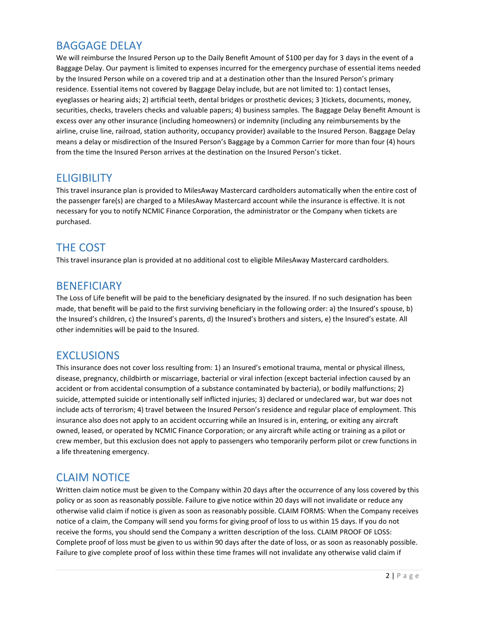# BAGGAGE DELAY

We will reimburse the Insured Person up to the Daily Benefit Amount of \$100 per day for 3 days in the event of a Baggage Delay. Our payment is limited to expenses incurred for the emergency purchase of essential items needed by the Insured Person while on a covered trip and at a destination other than the Insured Person's primary residence. Essential items not covered by Baggage Delay include, but are not limited to: 1) contact lenses, eyeglasses or hearing aids; 2) artificial teeth, dental bridges or prosthetic devices; 3 )tickets, documents, money, securities, checks, travelers checks and valuable papers; 4) business samples. The Baggage Delay Benefit Amount is excess over any other insurance (including homeowners) or indemnity (including any reimbursements by the airline, cruise line, railroad, station authority, occupancy provider) available to the Insured Person. Baggage Delay means a delay or misdirection of the Insured Person's Baggage by a Common Carrier for more than four (4) hours from the time the Insured Person arrives at the destination on the Insured Person's ticket.

#### **ELIGIBILITY**

This travel insurance plan is provided to MilesAway Mastercard cardholders automatically when the entire cost of the passenger fare(s) are charged to a MilesAway Mastercard account while the insurance is effective. It is not necessary for you to notify NCMIC Finance Corporation, the administrator or the Company when tickets are purchased.

# THE COST

This travel insurance plan is provided at no additional cost to eligible MilesAway Mastercard cardholders.

### **BENEFICIARY**

The Loss of Life benefit will be paid to the beneficiary designated by the insured. If no such designation has been made, that benefit will be paid to the first surviving beneficiary in the following order: a) the Insured's spouse, b) the Insured's children, c) the Insured's parents, d) the Insured's brothers and sisters, e) the Insured's estate. All other indemnities will be paid to the Insured.

# EXCLUSIONS

 include acts of terrorism; 4) travel between the Insured Person's residence and regular place of employment. This crew member, but this exclusion does not apply to passengers who temporarily perform pilot or crew functions in This insurance does not cover loss resulting from: 1) an Insured's emotional trauma, mental or physical illness, disease, pregnancy, childbirth or miscarriage, bacterial or viral infection (except bacterial infection caused by an accident or from accidental consumption of a substance contaminated by bacteria), or bodily malfunctions; 2) suicide, attempted suicide or intentionally self inflicted injuries; 3) declared or undeclared war, but war does not insurance also does not apply to an accident occurring while an Insured is in, entering, or exiting any aircraft owned, leased, or operated by NCMIC Finance Corporation; or any aircraft while acting or training as a pilot or a life threatening emergency.

# CLAIM NOTICE

Written claim notice must be given to the Company within 20 days after the occurrence of any loss covered by this policy or as soon as reasonably possible. Failure to give notice within 20 days will not invalidate or reduce any otherwise valid claim if notice is given as soon as reasonably possible. CLAIM FORMS: When the Company receives notice of a claim, the Company will send you forms for giving proof of loss to us within 15 days. If you do not receive the forms, you should send the Company a written description of the loss. CLAIM PROOF OF LOSS: Complete proof of loss must be given to us within 90 days after the date of loss, or as soon as reasonably possible. Failure to give complete proof of loss within these time frames will not invalidate any otherwise valid claim if